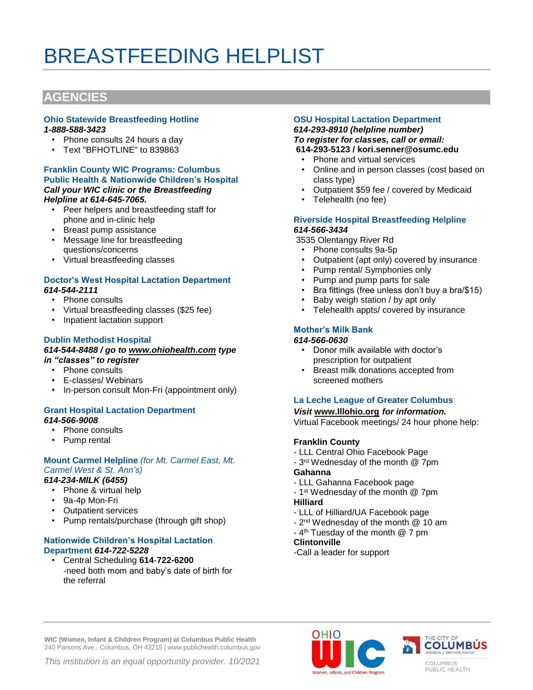# BREASTFEEDING HELPLIST

# **AGENCIES**

#### **Ohio Statewide Breastfeeding Hotline** *1-888-588-3423*

- Phone consults 24 hours a day
- Text "BFHOTLINE" to 839863

#### **Franklin County WIC Programs: Columbus Public Health & Nationwide Children's Hospital**  *Call your WIC clinic or the Breastfeeding Helpline at 614-645-7065.*

- Peer helpers and breastfeeding staff for phone and in-clinic help
- Breast pump assistance
- Message line for breastfeeding questions/concerns
- Virtual breastfeeding classes

## **Doctor's West Hospital Lactation Department**  *614-544-2111*

- Phone consults
- Virtual breastfeeding classes (\$25 fee)
- Inpatient lactation support

## **Dublin Methodist Hospital**

#### *614-544-8488 / go to [www.ohiohealth.com](http://www.ohiohealth.com/) type in "classes" to register*

- Phone consults
- 
- E-classes/ Webinars
- In-person consult Mon-Fri (appointment only)

# **Grant Hospital Lactation Department**

# *614-566-9008*

- Phone consults
- Pump rental

# **Mount Carmel Helpline** *(for Mt. Carmel East, Mt. Carmel West & St. Ann's)*

# *614-234-MILK (6455)*

- Phone & virtual help
- 9a-4p Mon-Fri
- Outpatient services
- Pump rentals/purchase (through gift shop)

#### **Nationwide Children's Hospital Lactation Department** *614-722-5228*

• Central Scheduling **614**-**722-6200** -need both mom and baby's date of birth for the referral

# **OSU Hospital Lactation Department**

#### *614-293-8910 (helpline number) To register for classes, call or email:*  **614-293-5123 / kori.senner@osumc.edu**

- Phone and virtual services
- Online and in person classes (cost based on class type)
- Outpatient \$59 fee / covered by Medicaid
- Telehealth (no fee)

### **Riverside Hospital Breastfeeding Helpline** *614-566-3434*

- 3535 Olentangy River Rd
- Phone consults 9a-5p
- Outpatient (apt only) covered by insurance
- Pump rental/ Symphonies only
- Pump and pump parts for sale
- Bra fittings (free unless don't buy a bra/\$15)
- Baby weigh station / by apt only
- Telehealth appts/ covered by insurance

# **Mother's Milk Bank**

## *614-566-0630*

- Donor milk available with doctor's prescription for outpatient
- Breast milk donations accepted from screened mothers

## **La Leche League of Greater Columbus**

### *Visit* **[www.lllohio.org](http://www.lllohio.org/)** *for information.*

Virtual Facebook meetings/ 24 hour phone help:

### **Franklin County**

- LLL Central Ohio Facebook Page
- 3 rd Wednesday of the month @ 7pm

#### **Gahanna**

- LLL Gahanna Facebook page
- 1 st Wednesday of the month @ 7pm **Hilliard**

## - LLL of Hilliard/UA Facebook page

- 2<sup>nd</sup> Wednesday of the month @ 10 am
- 4<sup>th</sup> Tuesday of the month @ 7 pm

## **Clintonville**

-Call a leader for support